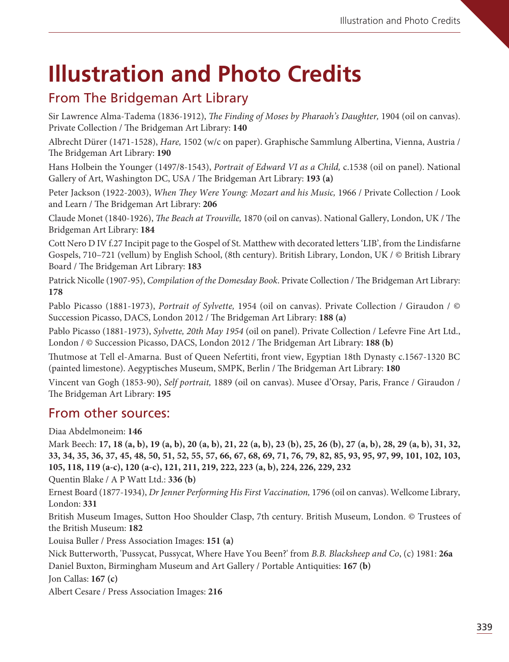# **Illustration and Photo Credits**

### From The Bridgeman Art Library

Sir Lawrence Alma-Tadema (1836-1912), *The Finding of Moses by Pharaoh's Daughter*, 1904 (oil on canvas). Private Collection / The Bridgeman Art Library: 140

Albrecht Dürer (1471-1528), Hare, 1502 (w/c on paper). Graphische Sammlung Albertina, Vienna, Austria / e Bridgeman Art Library: **190**

Hans Holbein the Younger (1497/8-1543), Portrait of Edward VI as a Child, c.1538 (oil on panel). National Gallery of Art, Washington DC, USA / The Bridgeman Art Library: 193 (a)

Peter Jackson (1922-2003), When They Were Young: Mozart and his Music, 1966 / Private Collection / Look and Learn / The Bridgeman Art Library: 206

Claude Monet (1840-1926), *The Beach at Trouville*, 1870 (oil on canvas). National Gallery, London, UK / The Bridgeman Art Library: **184**

Cott Nero D IV f.27 Incipit page to the Gospel of St. Matthew with decorated letters 'LIB', from the Lindisfarne Gospels, 710–721 (vellum) by English School, (8th century). British Library, London, UK / © British Library Board / The Bridgeman Art Library: 183

Patrick Nicolle (1907-95), Compilation of the Domesday Book. Private Collection / The Bridgeman Art Library: **178**

Pablo Picasso (1881-1973), Portrait of Sylvette, 1954 (oil on canvas). Private Collection / Giraudon / © Succession Picasso, DACS, London 2012 / The Bridgeman Art Library: 188 (a)

Pablo Picasso (1881-1973), Sylvette, 20th May 1954 (oil on panel). Private Collection / Lefevre Fine Art Ltd., London / © Succession Picasso, DACS, London 2012 / The Bridgeman Art Library: 188 (b)

utmose at Tell el-Amarna. Bust of Queen Nefertiti, front view, Egyptian 18th Dynasty c.1567-1320 BC (painted limestone). Aegyptisches Museum, SMPK, Berlin / The Bridgeman Art Library: 180

Vincent van Gogh (1853-90), Self portrait, 1889 (oil on canvas). Musee d'Orsay, Paris, France / Giraudon / e Bridgeman Art Library: **195**

### From other sources:

Diaa Abdelmoneim: **146**

Mark Beech: **17, 18 (a, b), 19 (a, b), 20 (a, b), 21, 22 (a, b), 23 (b), 25, 26 (b), 27 (a, b), 28, 29 (a, b), 31, 32, 33, 34, 35, 36, 37, 45, 48, 50, 51, 52, 55, 57, 66, 67, 68, 69, 71, 76, 79, 82, 85, 93, 95, 97, 99, 101, 102, 103, 105, 118, 119 (a-c), 120 (a-c), 121, 211, 219, 222, 223 (a, b), 224, 226, 229, 232**

Quentin Blake / A P Watt Ltd.: **336 (b)**

Ernest Board (1877-1934), Dr Jenner Performing His First Vaccination, 1796 (oil on canvas). Wellcome Library, London: **331**

British Museum Images, Sutton Hoo Shoulder Clasp, 7th century. British Museum, London. © Trustees of the British Museum: **182**

Louisa Buller / Press Association Images: **151 (a)**

Nick Butterworth, 'Pussycat, Pussycat, Where Have You Been?' from B.B. Blacksheep and Co, (c) 1981: **26a**

Daniel Buxton, Birmingham Museum and Art Gallery / Portable Antiquities: **167 (b)**

Jon Callas: **167 (c)**

Albert Cesare / Press Association Images: **216**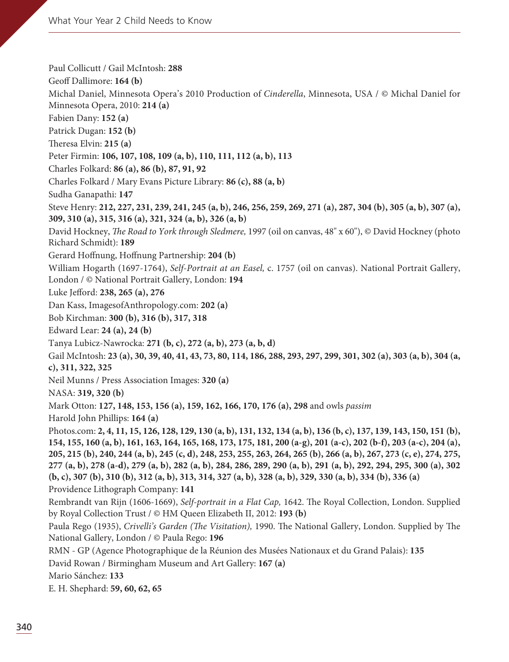Paul Collicutt / Gail McIntosh: **288** Geoff Dallimore: **164 (b)** Michal Daniel, Minnesota Opera's 2010 Production of Cinderella, Minnesota, USA / © Michal Daniel for Minnesota Opera, 2010: **214 (a)** Fabien Dany: **152 (a)** Patrick Dugan: **152 (b)** eresa Elvin: **215 (a)** Peter Firmin: **106, 107, 108, 109 (a, b), 110, 111, 112 (a, b), 113** Charles Folkard: **86 (a), 86 (b), 87, 91, 92** Charles Folkard / Mary Evans Picture Library: **86 (c), 88 (a, b)** Sudha Ganapathi: **147** Steve Henry: **212, 227, 231, 239, 241, 245 (a, b), 246, 256, 259, 269, 271 (a), 287, 304 (b), 305 (a, b), 307 (a), 309, 310 (a), 315, 316 (a), 321, 324 (a, b), 326 (a, b)** David Hockney, The Road to York through Sledmere, 1997 (oil on canvas, 48" x 60"), © David Hockney (photo Richard Schmidt): **189** Gerard Hoffnung, Hoffnung Partnership: **204 (b)** William Hogarth (1697-1764), Self-Portrait at an Easel, c. 1757 (oil on canvas). National Portrait Gallery, London / © National Portrait Gallery, London: **194** Luke Jefford: **238, 265 (a), 276** Dan Kass, ImagesofAnthropology.com: **202 (a)** Bob Kirchman: **300 (b), 316 (b), 317, 318** Edward Lear: **24 (a), 24 (b)** Tanya Lubicz-Nawrocka: **271 (b, c), 272 (a, b), 273 (a, b, d)** Gail McIntosh: **23 (a), 30, 39, 40, 41, 43, 73, 80, 114, 186, 288, 293, 297, 299, 301, 302 (a), 303 (a, b), 304 (a, c), 311, 322, 325** Neil Munns / Press Association Images: **320 (a)** NASA: **319, 320 (b)** Mark Otton: **127, 148, 153, 156 (a), 159, 162, 166, 170, 176 (a), 298** and owls passim Harold John Phillips: **164 (a)** Photos.com: **2, 4, 11, 15, 126, 128, 129, 130 (a, b), 131, 132, 134 (a, b), 136 (b, c), 137, 139, 143, 150, 151 (b), 154, 155, 160 (a, b), 161, 163, 164, 165, 168, 173, 175, 181, 200 (a-g), 201 (a-c), 202 (b-f), 203 (a-c), 204 (a), 205, 215 (b), 240, 244 (a, b), 245 (c, d), 248, 253, 255, 263, 264, 265 (b), 266 (a, b), 267, 273 (c, e), 274, 275, 277 (a, b), 278 (a-d), 279 (a, b), 282 (a, b), 284, 286, 289, 290 (a, b), 291 (a, b), 292, 294, 295, 300 (a), 302 (b, c), 307 (b), 310 (b), 312 (a, b), 313, 314, 327 (a, b), 328 (a, b), 329, 330 (a, b), 334 (b), 336 (a)** Providence Lithograph Company: **141** Rembrandt van Rijn (1606-1669), Self-portrait in a Flat Cap, 1642. The Royal Collection, London. Supplied by Royal Collection Trust / © HM Queen Elizabeth II, 2012: **193 (b)** Paula Rego (1935), Crivelli's Garden (The Visitation), 1990. The National Gallery, London. Supplied by The National Gallery, London / © Paula Rego: **196** RMN - GP (Agence Photographique de la Réunion des Musées Nationaux et du Grand Palais): **135** David Rowan / Birmingham Museum and Art Gallery: **167 (a)** Mario Sánchez: **133**  E. H. Shephard: **59, 60, 62, 65**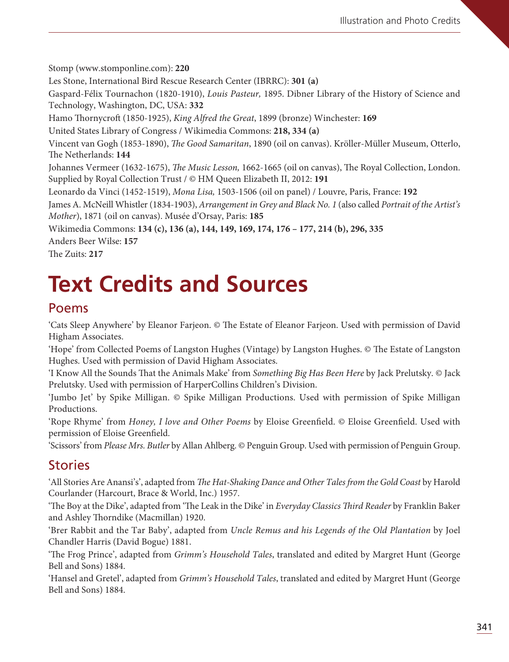Stomp (www.stomponline.com): **220** Les Stone, International Bird Rescue Research Center (IBRRC): **301 (a)** Gaspard-Félix Tournachon (1820-1910), Louis Pasteur, 1895. Dibner Library of the History of Science and Technology, Washington, DC, USA: **332** Hamo Thornycroft (1850-1925), King Alfred the Great, 1899 (bronze) Winchester: 169 United States Library of Congress / Wikimedia Commons: **218, 334 (a)** Vincent van Gogh (1853-1890), *The Good Samaritan*, 1890 (oil on canvas). Kröller-Müller Museum, Otterlo, The Netherlands: 144 Johannes Vermeer (1632-1675), *The Music Lesson*, 1662-1665 (oil on canvas), The Royal Collection, London. Supplied by Royal Collection Trust / © HM Queen Elizabeth II, 2012: **191** Leonardo da Vinci (1452-1519), Mona Lisa, 1503-1506 (oil on panel) / Louvre, Paris, France: **192** James A. McNeill Whistler (1834-1903), Arrangement in Grey and Black No. 1 (also called Portrait of the Artist's Mother), 1871 (oil on canvas). Musée d'Orsay, Paris: **185**  Wikimedia Commons: **134 (c), 136 (a), 144, 149, 169, 174, 176 – 177, 214 (b), 296, 335** Anders Beer Wilse: **157** The Zuits: 217

## **Text Credits and Sources**

#### Poems

'Cats Sleep Anywhere' by Eleanor Farjeon. © The Estate of Eleanor Farjeon. Used with permission of David Higham Associates.

'Hope' from Collected Poems of Langston Hughes (Vintage) by Langston Hughes. © The Estate of Langston Hughes. Used with permission of David Higham Associates.

'I Know All the Sounds That the Animals Make' from Something Big Has Been Here by Jack Prelutsky. © Jack Prelutsky. Used with permission of HarperCollins Children's Division.

'Jumbo Jet' by Spike Milligan. © Spike Milligan Productions. Used with permission of Spike Milligan Productions.

'Rope Rhyme' from Honey, I love and Other Poems by Eloise Greenfield. © Eloise Greenfield. Used with permission of Eloise Greenfield.

'Scissors' from Please Mrs. Butler by Allan Ahlberg. © Penguin Group. Used with permission of Penguin Group.

### Stories

'All Stories Are Anansi's', adapted from The Hat-Shaking Dance and Other Tales from the Gold Coast by Harold Courlander (Harcourt, Brace & World, Inc.) 1957.

'The Boy at the Dike', adapted from 'The Leak in the Dike' in Everyday Classics Third Reader by Franklin Baker and Ashley Thorndike (Macmillan) 1920.

'Brer Rabbit and the Tar Baby', adapted from Uncle Remus and his Legends of the Old Plantation by Joel Chandler Harris (David Bogue) 1881.

'The Frog Prince', adapted from Grimm's Household Tales, translated and edited by Margret Hunt (George Bell and Sons) 1884.

'Hansel and Gretel', adapted from Grimm's Household Tales, translated and edited by Margret Hunt (George Bell and Sons) 1884.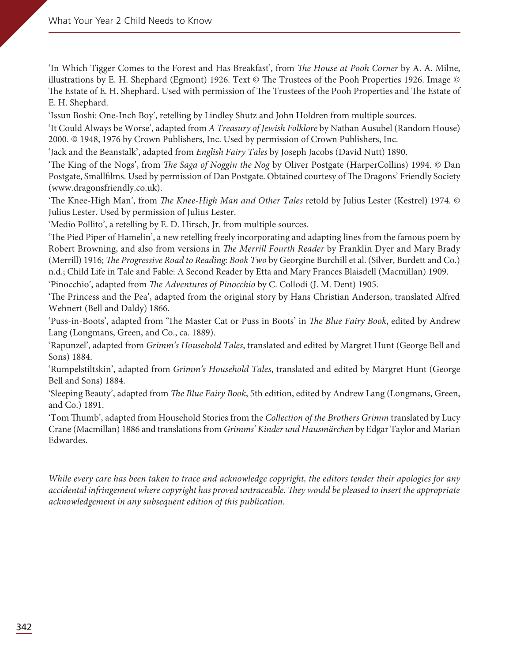'In Which Tigger Comes to the Forest and Has Breakfast', from The House at Pooh Corner by A. A. Milne, illustrations by E. H. Shephard (Egmont) 1926. Text  $\circledcirc$  The Trustees of the Pooh Properties 1926. Image  $\circledcirc$ The Estate of E. H. Shephard. Used with permission of The Trustees of the Pooh Properties and The Estate of E. H. Shephard.

'Issun Boshi: One-Inch Boy', retelling by Lindley Shutz and John Holdren from multiple sources.

'It Could Always be Worse', adapted from A Treasury of Jewish Folklore by Nathan Ausubel (Random House) 2000. © 1948, 1976 by Crown Publishers, Inc. Used by permission of Crown Publishers, Inc.

'Jack and the Beanstalk', adapted from English Fairy Tales by Joseph Jacobs (David Nutt) 1890.

'The King of the Nogs', from *The Saga of Noggin the Nog* by Oliver Postgate (HarperCollins) 1994.  $\circledcirc$  Dan Postgate, Smallfilms. Used by permission of Dan Postgate. Obtained courtesy of The Dragons' Friendly Society (www.dragonsfriendly.co.uk).

'The Knee-High Man', from The Knee-High Man and Other Tales retold by Julius Lester (Kestrel) 1974. © Julius Lester. Used by permission of Julius Lester.

'Medio Pollito', a retelling by E. D. Hirsch, Jr. from multiple sources.

'The Pied Piper of Hamelin', a new retelling freely incorporating and adapting lines from the famous poem by Robert Browning, and also from versions in The Merrill Fourth Reader by Franklin Dyer and Mary Brady (Merrill) 1916; *The Progressive Road to Reading: Book Two* by Georgine Burchill et al. (Silver, Burdett and Co.) n.d.; Child Life in Tale and Fable: A Second Reader by Etta and Mary Frances Blaisdell (Macmillan) 1909.

'Pinocchio', adapted from *The Adventures of Pinocchio* by C. Collodi (J. M. Dent) 1905.

'The Princess and the Pea', adapted from the original story by Hans Christian Anderson, translated Alfred Wehnert (Bell and Daldy) 1866.

'Puss-in-Boots', adapted from 'The Master Cat or Puss in Boots' in The Blue Fairy Book, edited by Andrew Lang (Longmans, Green, and Co., ca. 1889).

'Rapunzel', adapted from Grimm's Household Tales, translated and edited by Margret Hunt (George Bell and Sons) 1884.

'Rumpelstiltskin', adapted from Grimm's Household Tales, translated and edited by Margret Hunt (George Bell and Sons) 1884.

'Sleeping Beauty', adapted from The Blue Fairy Book, 5th edition, edited by Andrew Lang (Longmans, Green, and Co.) 1891.

'Tom Thumb', adapted from Household Stories from the Collection of the Brothers Grimm translated by Lucy Crane (Macmillan) 1886 and translations from Grimms' Kinder und Hausmärchen by Edgar Taylor and Marian Edwardes.

While every care has been taken to trace and acknowledge copyright, the editors tender their apologies for any accidental infringement where copyright has proved untraceable. They would be pleased to insert the appropriate acknowledgement in any subsequent edition of this publication.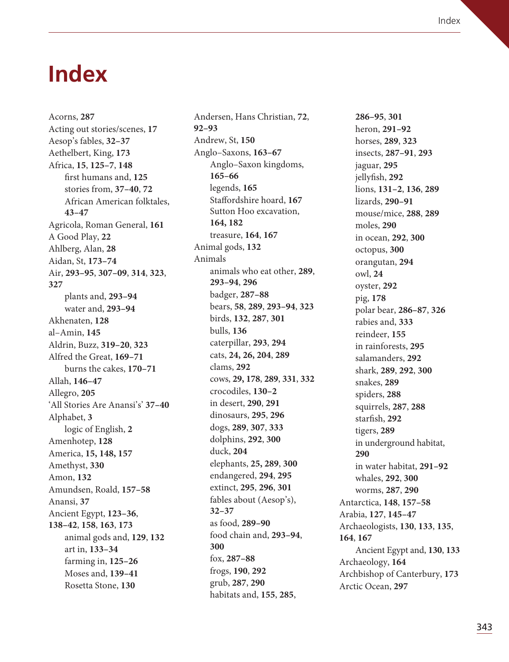### **Index**

Acorns, **287** Acting out stories/scenes, **17** Aesop's fables, **32–37** Aethelbert, King, **173** Africa, **15**, **125–7**, **148** first humans and, **125** stories from, **37–40**, **72** African American folktales, **43–47** Agricola, Roman General, **161** A Good Play, **22** Ahlberg, Alan, **28** Aidan, St, **173–74** Air, **293–95**, **307–09**, **314**, **323**, **327** plants and, **293–94** water and, **293–94** Akhenaten, **128** al–Amin, **145** Aldrin, Buzz, **319–20**, **323** Alfred the Great, **169–71** burns the cakes, **170–71** Allah, **146–47** Allegro, **205** 'All Stories Are Anansi's' **37–40** Alphabet, **3** logic of English, **2** Amenhotep, **128** America, **15, 148, 157**  Amethyst, **330** Amon, **132** Amundsen, Roald, **157–58** Anansi, **37** Ancient Egypt, **123–36**, **138–42**, **158**, **163**, **173** animal gods and, **129**, **132** art in, **133–34** farming in, **125–26** Moses and, **139–41** Rosetta Stone, **130**

Andersen, Hans Christian, **72**, **92–93** Andrew, St, **150** Anglo–Saxons, **163–67** Anglo–Saxon kingdoms, **165–66** legends, **165** Staffordshire hoard, **167** Sutton Hoo excavation, **164, 182** treasure, **164**, **167** Animal gods, **132** Animals animals who eat other, **289**, **293–94**, **296** badger, **287–88** bears, **58**, **289**, **293–94**, **323** birds, **132**, **287**, **301** bulls, **136** caterpillar, **293**, **294** cats, **24, 26, 204**, **289** clams, **292** cows, **29, 178**, **289**, **331**, **332** crocodiles, **130–2** in desert, **290**, **291** dinosaurs, **295**, **296** dogs, **289**, **307**, **333** dolphins, **292**, **300** duck, **204** elephants, **25, 289**, **300** endangered, **294**, **295** extinct, **295**, **296**, **301** fables about (Aesop's), **32–37** as food, **289–90** food chain and, **293–94**, **300** fox, **287–88** frogs, **190**, **292** grub, **287**, **290** habitats and, **155**, **285**,

**286–95**, **301** heron, **291–92** horses, **289**, **323** insects, **287–91**, **293** jaguar, **295** jellyfish, **292** lions, **131–2**, **136**, **289** lizards, **290–91** mouse/mice, **288**, **289** moles, **290** in ocean, **292**, **300** octopus, **300** orangutan, **294** owl, **24** oyster, **292** pig, **178** polar bear, **286–87**, **326** rabies and, **333** reindeer, **155** in rainforests, **295** salamanders, **292** shark, **289**, **292**, **300** snakes, **289** spiders, **288** squirrels, **287**, **288** starfish, **292** tigers, **289** in underground habitat, **290** in water habitat, **291–92** whales, **292**, **300** worms, **287**, **290** Antarctica, **148**, **157–58** Arabia, **127**, **145–47** Archaeologists, **130**, **133**, **135**, **164**, **167** Ancient Egypt and, **130**, **133** Archaeology, **164** Archbishop of Canterbury, **173** Arctic Ocean, **297**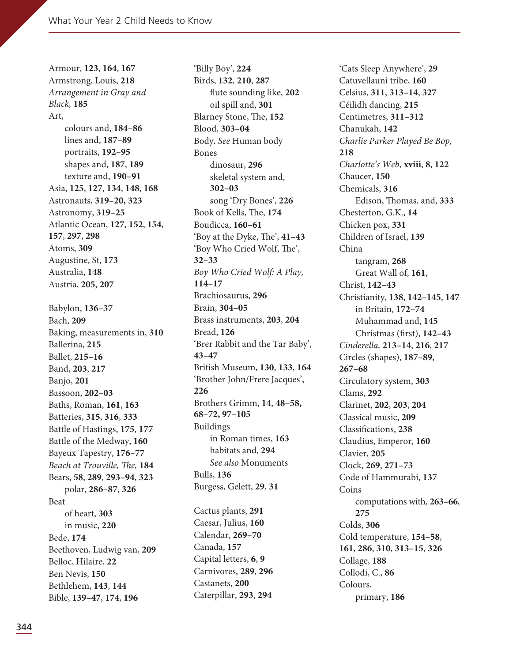Armour, **123**, **164**, **167** Armstrong, Louis, **218** Arrangement in Gray and Black, **185** Art, colours and, **184–86** lines and, **187–89** portraits, **192–95** shapes and, **187**, **189** texture and, **190–91** Asia, **125**, **127**, **134**, **148**, **168** Astronauts, **319–20, 323** Astronomy, **319–25** Atlantic Ocean, **127**, **152**, **154**, **157**, **297**, **298** Atoms, **309** Augustine, St, **173** Australia, **148** Austria, **205**, **207** Babylon, **136–37** Bach, **209** Baking, measurements in, **310** Ballerina, **215** Ballet, **215–16** Band, **203**, **217** Banjo, **201** Bassoon, **202–03** Baths, Roman, **161**, **163** Batteries, **315**, **316**, **333** Battle of Hastings, **175**, **177** Battle of the Medway, **160** Bayeux Tapestry, **176–77** Beach at Trouville, The, 184 Bears, **58**, **289**, **293–94**, **323** polar, **286–87**, **326** Beat of heart, **303** in music, **220** Bede, **174** Beethoven, Ludwig van, **209** Belloc, Hilaire, **22** Ben Nevis, **150** Bethlehem, **143**, **144** Bible, **139–47**, **174**, **196**

'Billy Boy', **224** Birds, **132**, **210**, **287** flute sounding like, **202** oil spill and, **301** Blarney Stone, The, 152 Blood, **303–04** Body. See Human body Bones dinosaur, **296** skeletal system and, **302–03** song 'Dry Bones', **226** Book of Kells, The, 174 Boudicca, **160–61** 'Boy at the Dyke, The', 41-43 'Boy Who Cried Wolf, The', **32–33** Boy Who Cried Wolf: A Play, **114–17** Brachiosaurus, **296** Brain, **304–05** Brass instruments, **203**, **204** Bread, **126** 'Brer Rabbit and the Tar Baby', **43–47** British Museum, **130**, **133**, **164** 'Brother John/Frere Jacques', **226** Brothers Grimm, **14**, **48–58, 68–72, 97–105** Buildings in Roman times, **163** habitats and, **294** See also Monuments Bulls, **136** Burgess, Gelett, **29**, **31** Cactus plants, **291** Caesar, Julius, **160** Calendar, **269–70** Canada, **157** Capital letters, **6**, **9** Carnivores, **289**, **296** Castanets, **200**

Caterpillar, **293**, **294**

'Cats Sleep Anywhere', **29** Catuvellauni tribe, **160** Celsius, **311**, **313–14**, **327** Céilidh dancing, **215** Centimetres, **311–312** Chanukah, **142** Charlie Parker Played Be Bop, **218** Charlotte's Web, **xviii**, **8**, **122** Chaucer, **150** Chemicals, **316** Edison, Thomas, and, 333 Chesterton, G.K., **14** Chicken pox, **331** Children of Israel, **139** China tangram, **268** Great Wall of, **161**, Christ, **142–43** Christianity, **138**, **142–145**, **147** in Britain, **172–74** Muhammad and, **145** Christmas (first), **142–43** Cinderella, **213–14**, **216**, **217** Circles (shapes), **187–89**, **267–68** Circulatory system, **303** Clams, **292** Clarinet, **202**, **203**, **204** Classical music, **209** Classifications, **238** Claudius, Emperor, **160** Clavier, **205** Clock, **269**, **271–73** Code of Hammurabi, **137** Coins computations with, **263–66**, **275** Colds, **306** Cold temperature, **154–58**, **161**, **286**, **310**, **313–15**, **326** Collage, **188** Collodi, C., **86** Colours, primary, **186**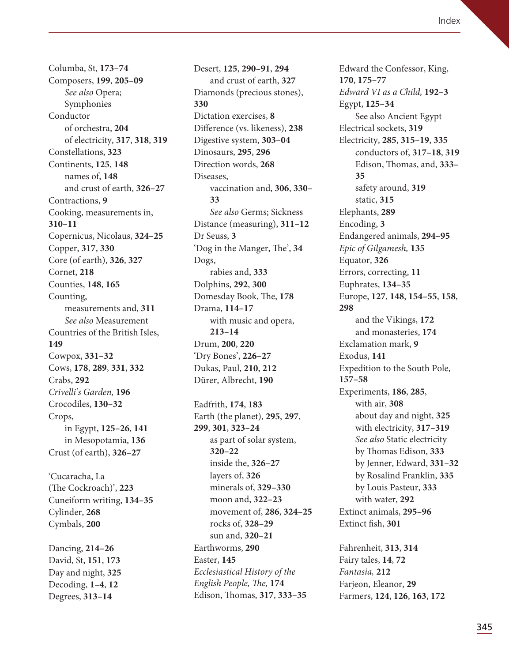Columba, St, **173–74** Composers, **199**, **205–09** See also Opera; Symphonies Conductor of orchestra, **204** of electricity, **317**, **318**, **319** Constellations, **323** Continents, **125**, **148** names of, **148** and crust of earth, **326–27** Contractions, **9** Cooking, measurements in, **310–11** Copernicus, Nicolaus, **324–25** Copper, **317**, **330** Core (of earth), **326**, **327** Cornet, **218** Counties, **148**, **165** Counting, measurements and, **311** See also Measurement Countries of the British Isles, **149** Cowpox, **331–32** Cows, **178**, **289**, **331**, **332** Crabs, **292** Crivelli's Garden, **196** Crocodiles, **130–32** Crops, in Egypt, **125–26**, **141** in Mesopotamia, **136** Crust (of earth), **326–27** 'Cucaracha, La (The Cockroach)', 223 Cuneiform writing, **134–35** Cylinder, **268** Cymbals, **200** Dancing, **214–26** David, St, **151**, **173** Day and night, **325** Decoding, **1–4**, **12** Degrees, **313–14**

Desert, **125**, **290–91**, **294** and crust of earth, **327** Diamonds (precious stones), **330** Dictation exercises, **8** Difference (vs. likeness), **238** Digestive system, **303–04** Dinosaurs, **295**, **296** Direction words, **268** Diseases, vaccination and, **306**, **330– 33** See also Germs; Sickness Distance (measuring), **311–12** Dr Seuss, **3** 'Dog in the Manger, The', 34 Dogs, rabies and, **333** Dolphins, **292**, **300** Domesday Book, The, 178 Drama, **114–17** with music and opera, **213–14** Drum, **200**, **220** 'Dry Bones', **226–27** Dukas, Paul, **210**, **212** Dürer, Albrecht, **190** Eadfrith, **174**, **183** Earth (the planet), **295**, **297**, **299**, **301**, **323–24** as part of solar system, **320–22** inside the, **326–27** layers of, **326** minerals of, **329–330** moon and, **322–23** movement of, **286**, **324–25**

> rocks of, **328–29** sun and, **320–21**

Ecclesiastical History of the English People, The, 174 Edison, Thomas, 317, 333-35

Earthworms, **290** Easter, **145**

Edward the Confessor, King, **170**, **175–77** Edward VI as a Child, **192–3** Egypt, **125–34** See also Ancient Egypt Electrical sockets, **319**  Electricity, **285**, **315–19**, **335** conductors of, **317–18**, **319** Edison, Thomas, and, 333– **35** safety around, **319** static, **315** Elephants, **289** Encoding, **3** Endangered animals, **294–95** Epic of Gilgamesh, **135** Equator, **326** Errors, correcting, **11** Euphrates, **134–35** Europe, **127**, **148**, **154–55**, **158**, **298** and the Vikings, **172** and monasteries, **174** Exclamation mark, **9** Exodus, **141** Expedition to the South Pole, **157–58** Experiments, **186**, **285**, with air, **308** about day and night, **325** with electricity, **317–319** See also Static electricity by Thomas Edison, 333 by Jenner, Edward, **331–32** by Rosalind Franklin, **335** by Louis Pasteur, **333** with water, **292** Extinct animals, **295–96** Extinct fish, **301** Fahrenheit, **313**, **314** Fairy tales, **14**, **72** Fantasia, **212** Farjeon, Eleanor, **29**

Farmers, **124**, **126**, **163**, **172**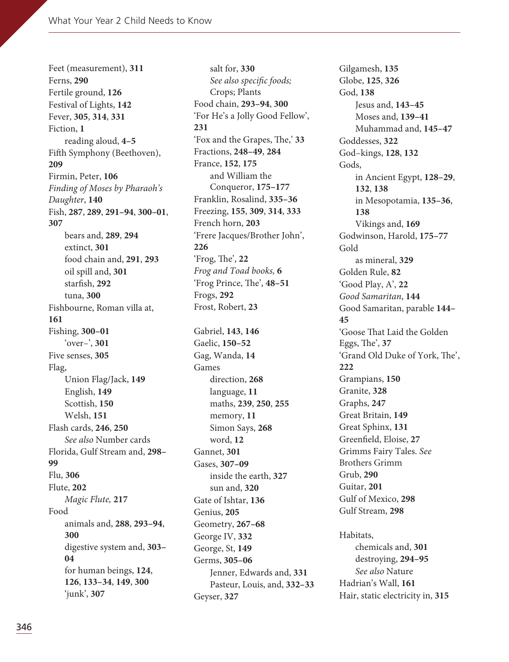Feet (measurement), **311** Ferns, **290** Fertile ground, **126** Festival of Lights, **142** Fever, **305**, **314**, **331** Fiction, **1** reading aloud, **4–5** Fifth Symphony (Beethoven), **209** Firmin, Peter, **106** Finding of Moses by Pharaoh's Daughter, **140** Fish, **287**, **289**, **291–94**, **300–01**, **307** bears and, **289**, **294** extinct, **301** food chain and, **291**, **293** oil spill and, **301** starfish, **292** tuna, **300** Fishbourne, Roman villa at, **161** Fishing, **300–01** 'over–', **301** Five senses, **305** Flag, Union Flag/Jack, **149** English, **149** Scottish, **150** Welsh, **151** Flash cards, **246**, **250** See also Number cards Florida, Gulf Stream and, **298– 99** Flu, **306** Flute, **202** Magic Flute, **217** Food animals and, **288**, **293–94**, **300** digestive system and, **303– 04** for human beings, **124**, **126**, **133–34**, **149**, **300** 'junk', **307**

salt for, **330** See also specific foods; Crops; Plants Food chain, **293–94**, **300** 'For He's a Jolly Good Fellow', **231** 'Fox and the Grapes, The,' 33 Fractions, **248–49**, **284** France, **152**, **175** and William the Conqueror, **175–177** Franklin, Rosalind, **335–36** Freezing, **155**, **309**, **314**, **333** French horn, **203** 'Frere Jacques/Brother John', **226** 'Frog, The', 22 Frog and Toad books, **6** 'Frog Prince, The', 48-51 Frogs, **292** Frost, Robert, **23** Gabriel, **143**, **146** Gaelic, **150–52** Gag, Wanda, **14** Games direction, **268** language, **11** maths, **239**, **250**, **255** memory, **11** Simon Says, **268** word, **12** Gannet, **301** Gases, **307–09** inside the earth, **327** sun and, **320** Gate of Ishtar, **136** Genius, **205** Geometry, **267–68** George IV, **332** George, St, **149** Germs, **305–06** Jenner, Edwards and, **331** Pasteur, Louis, and, **332–33** Geyser, **327**

Gilgamesh, **135** Globe, **125**, **326** God, **138** Jesus and, **143–45** Moses and, **139–41** Muhammad and, **145–47** Goddesses, **322** God–kings, **128**, **132** Gods, in Ancient Egypt, **128–29**, **132**, **138** in Mesopotamia, **135–36**, **138** Vikings and, **169** Godwinson, Harold, **175–77** Gold as mineral, **329** Golden Rule, **82** 'Good Play, A', **22** Good Samaritan, **144** Good Samaritan, parable **144– 45** 'Goose That Laid the Golden Eggs, The', 37 'Grand Old Duke of York, The', **222** Grampians, **150** Granite, **328** Graphs, **247** Great Britain, **149** Great Sphinx, **131** Greenfield, Eloise, **27** Grimms Fairy Tales. See Brothers Grimm Grub, **290** Guitar, **201** Gulf of Mexico, **298** Gulf Stream, **298** Habitats, chemicals and, **301** destroying, **294–95** See also Nature Hadrian's Wall, **161** Hair, static electricity in, **315**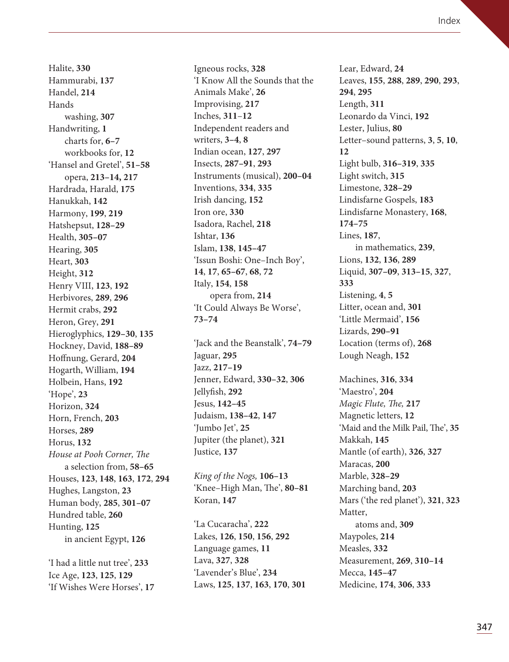Halite, **330** Hammurabi, **137** Handel, **214** Hands washing, **307** Handwriting, **1** charts for, **6–7** workbooks for, **12** 'Hansel and Gretel', **51–58** opera, **213–14, 217** Hardrada, Harald, **175** Hanukkah, **142** Harmony, **199**, **219** Hatshepsut, **128–29** Health, **305–07** Hearing, **305** Heart, **303** Height, **312** Henry VIII, **123**, **192** Herbivores, **289**, **296** Hermit crabs, **292** Heron, Grey, **291** Hieroglyphics, **129–30**, **135** Hockney, David, **188–89** Hoffnung, Gerard, **204** Hogarth, William, **194** Holbein, Hans, **192** 'Hope', **23** Horizon, **324** Horn, French, **203** Horses, **289** Horus, **132** House at Pooh Corner, The a selection from, **58–65** Houses, **123**, **148**, **163**, **172**, **294** Hughes, Langston, **23** Human body, **285**, **301–07** Hundred table, **260** Hunting, **125** in ancient Egypt, **126**

'I had a little nut tree', **233** Ice Age, **123**, **125**, **129** 'If Wishes Were Horses', **17** Igneous rocks, **328** 'I Know All the Sounds that the Animals Make', **26** Improvising, **217** Inches, **311**–**12** Independent readers and writers, **3–4**, **8** Indian ocean, **127**, **297** Insects, **287–91**, **293** Instruments (musical), **200–04** Inventions, **334**, **335** Irish dancing, **152** Iron ore, **330** Isadora, Rachel, **218** Ishtar, **136** Islam, **138**, **145–47** 'Issun Boshi: One–Inch Boy', **14**, **17**, **65–67**, **68**, **72** Italy, **154**, **158** opera from, **214** 'It Could Always Be Worse', **73–74**

'Jack and the Beanstalk', **74–79** Jaguar, **295** Jazz, **217–19** Jenner, Edward, **330–32**, **306** Jellyfish, **292** Jesus, **142–45** Judaism, **138–42**, **147** 'Jumbo Jet', **25** Jupiter (the planet), **321** Justice, **137**

King of the Nogs, **106–13** 'Knee-High Man, The', 80-81 Koran, **147**

'La Cucaracha', **222** Lakes, **126**, **150**, **156**, **292** Language games, **11** Lava, **327**, **328** 'Lavender's Blue', **234** Laws, **125**, **137**, **163**, **170**, **301** Lear, Edward, **24** Leaves, **155**, **288**, **289**, **290**, **293**, **294**, **295** Length, **311** Leonardo da Vinci, **192** Lester, Julius, **80** Letter–sound patterns, **3**, **5**, **10**, **12** Light bulb, **316–319**, **335** Light switch, **315** Limestone, **328–29** Lindisfarne Gospels, **183** Lindisfarne Monastery, **168**, **174–75** Lines, **187**, in mathematics, **239**, Lions, **132**, **136**, **289** Liquid, **307–09**, **313–15**, **327**, **333** Listening, **4**, **5** Litter, ocean and, **301** 'Little Mermaid', **156** Lizards, **290–91** Location (terms of), **268** Lough Neagh, **152**

Machines, **316**, **334** 'Maestro', **204** Magic Flute, The, 217 Magnetic letters, **12** 'Maid and the Milk Pail, The', 35 Makkah, **145** Mantle (of earth), **326**, **327** Maracas, **200** Marble, **328–29** Marching band, **203** Mars ('the red planet'), **321**, **323** Matter, atoms and, **309** Maypoles, **214** Measles, **332** Measurement, **269**, **310–14** Mecca, **145–47** Medicine, **174**, **306**, **333**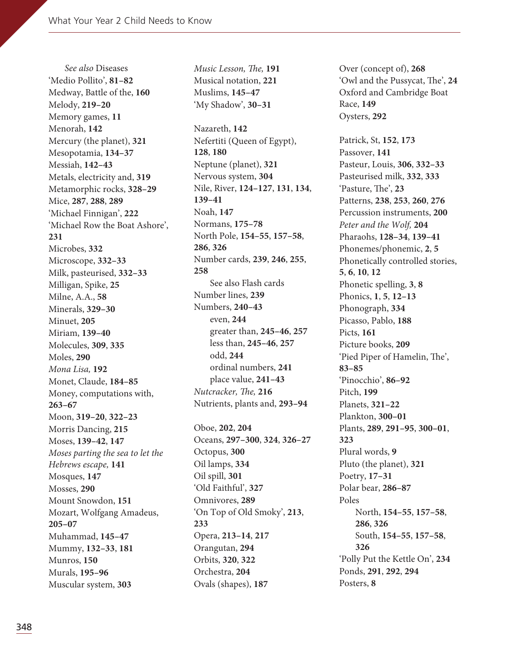See also Diseases 'Medio Pollito', **81–82** Medway, Battle of the, **160** Melody, **219–20** Memory games, **11** Menorah, **142** Mercury (the planet), **321** Mesopotamia, **134–37** Messiah, **142–43** Metals, electricity and, **319** Metamorphic rocks, **328–29** Mice, **287**, **288**, **289** 'Michael Finnigan', **222** 'Michael Row the Boat Ashore', **231** Microbes, **332** Microscope, **332–33** Milk, pasteurised, **332–33** Milligan, Spike, **25** Milne, A.A., **58** Minerals, **329–30** Minuet, **205** Miriam, **139–40** Molecules, **309**, **335** Moles, **290** Mona Lisa, **192** Monet, Claude, **184–85** Money, computations with, **263–67** Moon, **319–20**, **322–23** Morris Dancing, **215** Moses, **139–42**, **147** Moses parting the sea to let the Hebrews escape, **141** Mosques, **147** Mosses, **290** Mount Snowdon, **151** Mozart, Wolfgang Amadeus, **205–07** Muhammad, **145–47** Mummy, **132–33**, **181** Munros, **150** Murals, **195–96** Muscular system, **303**

Music Lesson, The, 191 Musical notation, **221** Muslims, **145–47** 'My Shadow', **30–31**

Nazareth, **142** Nefertiti (Queen of Egypt), **128**, **180** Neptune (planet), **321** Nervous system, **304** Nile, River, **124–127**, **131**, **134**, **139–41** Noah, **147** Normans, **175–78** North Pole, **154–55**, **157–58**, **286**, **326** Number cards, **239**, **246**, **255**, **258** See also Flash cards Number lines, **239** Numbers, **240–43** even, **244** greater than, **245–46**, **257** less than, **245–46**, **257** odd, **244** ordinal numbers, **241** place value, **241–43** Nutcracker, The, 216 Nutrients, plants and, **293–94**

Oboe, **202**, **204** Oceans, **297–300**, **324**, **326–27** Octopus, **300** Oil lamps, **334** Oil spill, **301** 'Old Faithful', **327** Omnivores, **289** 'On Top of Old Smoky', **213**, **233** Opera, **213–14**, **217** Orangutan, **294** Orbits, **320**, **322** Orchestra, **204** Ovals (shapes), **187**

Over (concept of), **268** 'Owl and the Pussycat, The', 24 Oxford and Cambridge Boat Race, **149** Oysters, **292**

Patrick, St, **152**, **173** Passover, **141** Pasteur, Louis, **306**, **332–33** Pasteurised milk, **332**, **333** 'Pasture, The', 23 Patterns, **238**, **253**, **260**, **276** Percussion instruments, **200** Peter and the Wolf, **204** Pharaohs, **128–34**, **139–41** Phonemes/phonemic, **2**, **5** Phonetically controlled stories, **5**, **6**, **10**, **12** Phonetic spelling, **3**, **8** Phonics, **1**, **5**, **12–13** Phonograph, **334** Picasso, Pablo, **188** Picts, **161** Picture books, **209** 'Pied Piper of Hamelin, The', **83–85** 'Pinocchio', **86–92** Pitch, **199** Planets, **321–22** Plankton, **300–01** Plants, **289**, **291–95**, **300–01**, **323** Plural words, **9**  Pluto (the planet), **321** Poetry, **17–31** Polar bear, **286–87** Poles North, **154–55**, **157–58**, **286**, **326** South, **154–55**, **157–58**, **326** 'Polly Put the Kettle On', **234** Ponds, **291**, **292**, **294** Posters, **8**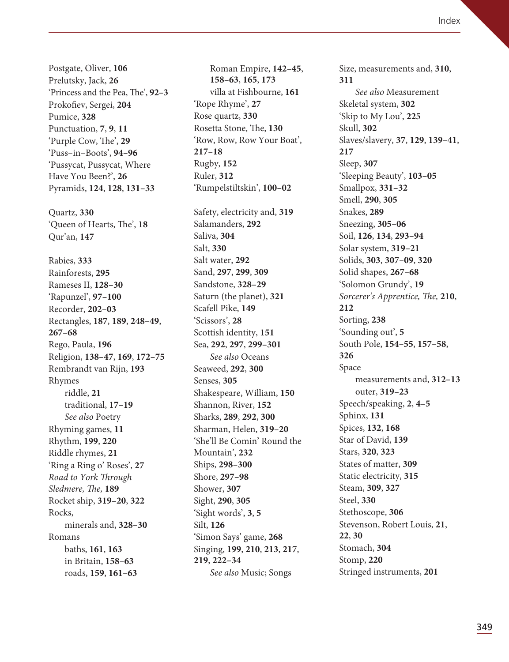Postgate, Oliver, **106** Prelutsky, Jack, **26** 'Princess and the Pea, The', 92–3 Prokofiev, Sergei, **204** Pumice, **328** Punctuation, **7**, **9**, **11** 'Purple Cow, The', 29 'Puss–in–Boots', **94–96** 'Pussycat, Pussycat, Where Have You Been?', **26** Pyramids, **124**, **128**, **131–33** Quartz, **330** 'Queen of Hearts, The', 18 Qur'an, **147** Rabies, **333** Rainforests, **295** Rameses II, **128–30** 'Rapunzel', **97–100** Recorder, **202–03** Rectangles, **187**, **189**, **248–49**, **267–68** Rego, Paula, **196** Religion, **138–47**, **169**, **172–75** Rembrandt van Rijn, **193** Rhymes riddle, **21** traditional, **17–19** See also Poetry Rhyming games, **11** Rhythm, **199**, **220** Riddle rhymes, **21** 'Ring a Ring o' Roses', **27** Road to York Through Sledmere, The, 189 Rocket ship, **319–20**, **322** Rocks, minerals and, **328–30** Romans baths, **161**, **163** in Britain, **158–63** roads, **159**, **161–63**

Roman Empire, **142–45**, **158–63**, **165**, **173** villa at Fishbourne, **161** 'Rope Rhyme', **27** Rose quartz, **330** Rosetta Stone, The, 130 'Row, Row, Row Your Boat', **217–18** Rugby, **152** Ruler, **312** 'Rumpelstiltskin', **100–02** Safety, electricity and, **319** Salamanders, **292** Saliva, **304** Salt, **330** Salt water, **292** Sand, **297**, **299**, **309** Sandstone, **328–29** Saturn (the planet), **321** Scafell Pike, **149** 'Scissors', **28** Scottish identity, **151** Sea, **292**, **297**, **299–301** See also Oceans Seaweed, **292**, **300** Senses, **305** Shakespeare, William, **150** Shannon, River, **152** Sharks, **289**, **292**, **300** Sharman, Helen, **319–20** 'She'll Be Comin' Round the Mountain', **232** Ships, **298–300** Shore, **297–98** Shower, **307** Sight, **290**, **305** 'Sight words', **3**, **5** Silt, **126** 'Simon Says' game, **268** Singing, **199**, **210**, **213**, **217**, **219**, **222–34** See also Music; Songs

Size, measurements and, **310**, **311** See also Measurement Skeletal system, **302** 'Skip to My Lou', **225** Skull, **302** Slaves/slavery, **37**, **129**, **139–41**, **217** Sleep, **307** 'Sleeping Beauty', **103–05** Smallpox, **331–32** Smell, **290**, **305** Snakes, **289** Sneezing, **305–06** Soil, **126**, **134**, **293–94** Solar system, **319–21** Solids, **303**, **307–09**, **320** Solid shapes, **267–68** 'Solomon Grundy', **19** Sorcerer's Apprentice, The, 210, **212** Sorting, **238** 'Sounding out', **5** South Pole, **154–55**, **157–58**, **326** Space measurements and, **312–13** outer, **319–23** Speech/speaking, **2**, **4–5** Sphinx, **131** Spices, **132**, **168** Star of David, **139** Stars, **320**, **323** States of matter, **309** Static electricity, **315** Steam, **309**, **327** Steel, **330** Stethoscope, **306** Stevenson, Robert Louis, **21**, **22**, **30** Stomach, **304** Stomp, **220** Stringed instruments, **201**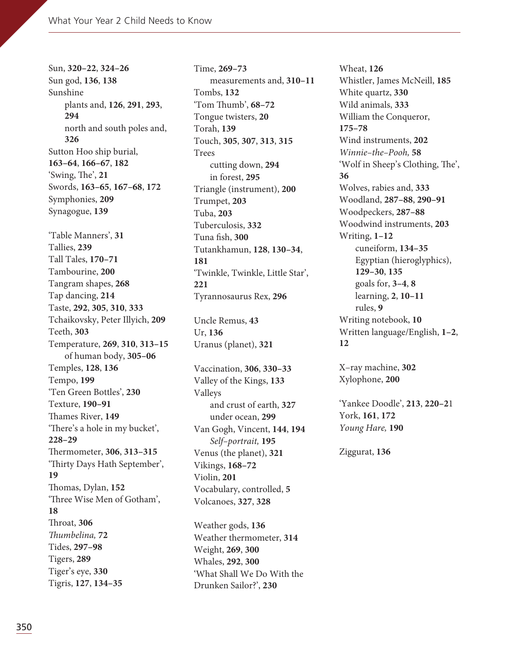Sun, **320–22**, **324–26** Sun god, **136**, **138** Sunshine plants and, **126**, **291**, **293**, **294** north and south poles and, **326** Sutton Hoo ship burial, **163–64**, **166–67**, **182**  $'Swing, The', 21$ Swords, **163–65**, **167–68**, **172** Symphonies, **209** Synagogue, **139** 'Table Manners', **31** Tallies, **239** Tall Tales, **170–71** Tambourine, **200** Tangram shapes, **268** Tap dancing, **214** Taste, **292**, **305**, **310**, **333** Tchaikovsky, Peter Illyich, **209** Teeth, **303** Temperature, **269**, **310**, **313–15** of human body, **305–06** Temples, **128**, **136** Tempo, **199** 'Ten Green Bottles', **230** Texture, **190–91** Thames River, 149 'There's a hole in my bucket', **228–29** ermometer, **306**, **313–315** 'Thirty Days Hath September', **19** Thomas, Dylan, 152 'Three Wise Men of Gotham', **18** roat, **306** Thumbelina, 72 Tides, **297–98** Tigers, **289** Tiger's eye, **330** Tigris, **127**, **134–35**

Time, **269–73** measurements and, **310–11** Tombs, **132** 'Tom Thumb',  $68-72$ Tongue twisters, **20** Torah, **139** Touch, **305**, **307**, **313**, **315** Trees cutting down, **294** in forest, **295** Triangle (instrument), **200** Trumpet, **203** Tuba, **203** Tuberculosis, **332** Tuna fish, **300** Tutankhamun, **128**, **130–34**, **181** 'Twinkle, Twinkle, Little Star', **221** Tyrannosaurus Rex, **296**

Uncle Remus, **43** Ur, **136** Uranus (planet), **321**

Vaccination, **306**, **330–33** Valley of the Kings, **133** Valleys and crust of earth, **327** under ocean, **299** Van Gogh, Vincent, **144**, **194** Self–portrait, **195** Venus (the planet), **321** Vikings, **168–72** Violin, **201** Vocabulary, controlled, **5** Volcanoes, **327**, **328**

Weather gods, **136** Weather thermometer, **314** Weight, **269**, **300** Whales, **292**, **300** 'What Shall We Do With the Drunken Sailor?', **230**

Wheat, **126** Whistler, James McNeill, **185** White quartz, **330** Wild animals, **333** William the Conqueror, **175–78** Wind instruments, **202** Winnie–the–Pooh, **58** 'Wolf in Sheep's Clothing, The', **36** Wolves, rabies and, **333** Woodland, **287–88**, **290–91** Woodpeckers, **287–88** Woodwind instruments, **203** Writing, **1–12** cuneiform, **134–35** Egyptian (hieroglyphics), **129–30**, **135** goals for, **3–4**, **8** learning, **2**, **10–11** rules, **9** Writing notebook, **10** Written language/English, **1–2**, **12**

X–ray machine, **302** Xylophone, **200**

'Yankee Doodle', **213**, **220–2**1 York, **161**, **172** Young Hare, **190**

Ziggurat, **136**